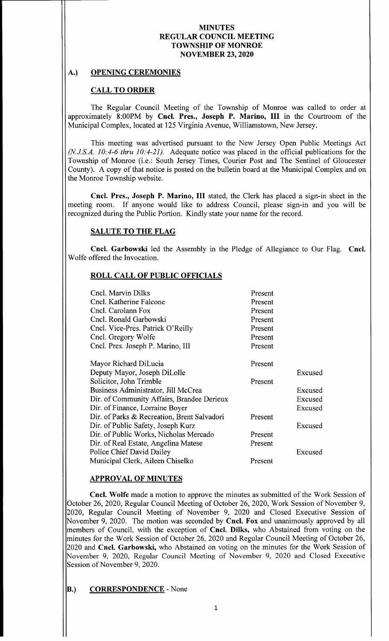### A.) OPENING CEREMONIES

# CALL TO ORDER

The Regular Council Meeting of the Township of Monroe was called to order at approximately 8:00PM by Cncl. Pres., Joseph P. Marino, III in the Courtroom of the Municipal Complex, located at 125 Virginia Avenue, Williamstown, New Jersey.

This meeting was advertised pursuant to the New Jersey Open Public Meetings Act  $(N.J.S.A. 10: 4-6$  thru 10:  $4-21$ ). Adequate notice was placed in the official publications for the Township of Monroe ( i.e.: South Jersey Times, Courier Post and The Sentinel of Gloucester County). A copy of that notice is posted on the bulletin board at the Municipal Complex and on the Monroe Township website.

Cncl. Pres., Joseph P. Marino, III stated, the Clerk has placed a sign-in sheet in the meeting room. If anyone would like to address Council, please sign-in and you will be recognized during the Public Portion. Kindly state your name for the record.

# SALUTE TO THE FLAG

Cncl. Garbowski led the Assembly in the Pledge of Allegiance to Our Flag. Cncl. Wolfe offered the Invocation.

### ROLL CALL OF PUBLIC OFFICIALS

| Cncl. Marvin Dilks                          | Present |         |
|---------------------------------------------|---------|---------|
| Cncl. Katherine Falcone                     | Present |         |
| Cncl. Carolann Fox                          | Present |         |
| Cncl. Ronald Garbowski                      | Present |         |
| Cncl. Vice-Pres. Patrick O'Reilly           | Present |         |
| Cncl. Gregory Wolfe                         | Present |         |
| Cncl. Pres. Joseph P. Marino, III           | Present |         |
| Mayor Richard DiLucia                       | Present |         |
| Deputy Mayor, Joseph DiLolle                |         | Excused |
| Solicitor, John Trimble                     | Present |         |
| Business Administrator, Jill McCrea         |         | Excused |
| Dir. of Community Affairs, Brandee Derieux  |         | Excused |
| Dir. of Finance, Lorraine Boyer             |         | Excused |
| Dir. of Parks & Recreation, Brent Salvadori | Present |         |
| Dir. of Public Safety, Joseph Kurz          |         | Excused |
| Dir. of Public Works, Nicholas Mercado      | Present |         |
| Dir. of Real Estate, Angelina Matese        | Present |         |
| Police Chief David Dailey                   |         | Excused |
| Municipal Clerk, Aileen Chiselko            | Present |         |

### APPROVAL OF MINUTES

Cncl. Wolfe made a motion to approve the minutes as submitted of the Work Session of October 26, 2020, Regular Council Meeting of October 26, 2020, Work Session of November 9, 2020, Regular Council Meeting of November 9, <sup>2020</sup> and Closed Executive Session of November 9, 2020. The motion was seconded by **Cncl. Fox** and unanimously approved by all members of Council, with the exception of Cncl. Dilks, who Abstained from voting on the minutes for the Work Session of October 26, 2020 and Regular Council Meeting of October 26, 2020 and Cncl. Garbowski, who Abstained on voting on the minutes for the Work Session of November 9, 2020, Regular Council Meeting of November 9, 2020 and Closed Executive Session of November 9, 2020.

### **B.) CORRESPONDENCE** - None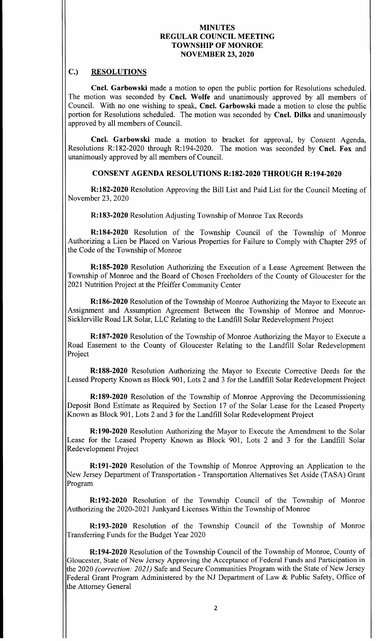# C.) RESOLUTIONS

Cncl. Garbowski made <sup>a</sup> motion to open the public portion for Resolutions scheduled. The motion was seconded by Cncl. Wolfe and unanimously approved by all members of Council. With no one wishing to speak, Cncl. Garbowski made <sup>a</sup> motion to close the public portion for Resolutions scheduled. The motion was seconded by Cncl. Dilks and unanimously approved by all members of Council.

Cncl. Garbowski made <sup>a</sup> motion to bracket for approval, by Consent Agenda, Resolutions R:182-2020 through R:194-2020. The motion was seconded by Cncl. Fox and unanimously approved by all members of Council.

# CONSENT AGENDA RESOLUTIONS R: 182- 2020 THROUGH R: 194-2020

R: 182-2020 Resolution Approving the Bill List and Paid List for the Council Meeting of November 23, 2020

R: 183-2020 Resolution Adjusting Township of Monroe Tax Records

R: 184-2020 Resolution of the Township Council of the Township of Monroe Authorizing a Lien be Placed on Various Properties for Failure to Comply with Chapter 295 of the Code of the Township of Monroe

R: 185- 2020 Resolution Authorizing the Execution of a Lease Agreement Between the Township of Monroe and the Board of Chosen Freeholders of the County of Gloucester for the 2021 Nutrition Project at the Pfeiffer Community Center

R: 186-2020 Resolution of the Township of Monroe Authorizing the Mayor to Execute an Assignment and Assumption Agreement Between the Township of Monroe and Monroe-Sicklerville Road LR Solar, LLC Relating to the Landfill Solar Redevelopment Project

R: 187-2020 Resolution of the Township of Monroe Authorizing the Mayor to Execute a Road Easement to the County of Gloucester Relating to the Landfill Solar Redevelopment Project

R: 188-2020 Resolution Authorizing the Mayor to Execute Corrective Deeds for the Leased Property Known as Block 901, Lots 2 and <sup>3</sup> for the Landfill Solar Redevelopment Project

R: 189-2020 Resolution of the Township of Monroe Approving the Decommissioning Deposit Bond Estimate as Required by Section <sup>17</sup> of the Solar Lease for the Leased Property Known as Block 901, Lots 2 and <sup>3</sup> for the Landfill Solar Redevelopment Project

R: 190-2020 Resolution Authorizing the Mayor to Execute the Amendment to the Solar Lease for the Leased Property Known as Block 901, Lots <sup>2</sup> and <sup>3</sup> for the Landfill Solar Redevelopment Project

R: 191-2020 Resolution of the Township of Monroe Approving an Application to the New Jersey Department of Transportation - Transportation Alternatives Set Aside (TASA) Grant Program

R: 192-2020 Resolution of the Township Council of the Township of Monroe Authorizing the 2020-2021 Junkyard Licenses Within the Township of Monroe

R: 193-2020 Resolution of the Township Council of the Township of Monroe Transferring Funds for the Budget Year 2020

R: 194-2020 Resolution of the Township Council of the Township of Monroe, County of Gloucester, State of New Jersey Approving the Acceptance of Federal Funds and Participation in the 2020 (correction: 2021) Safe and Secure Communities Program with the State of New Jersey Federal Grant Program Administered by the NJ Department of Law & Public Safety, Office of the Attorney General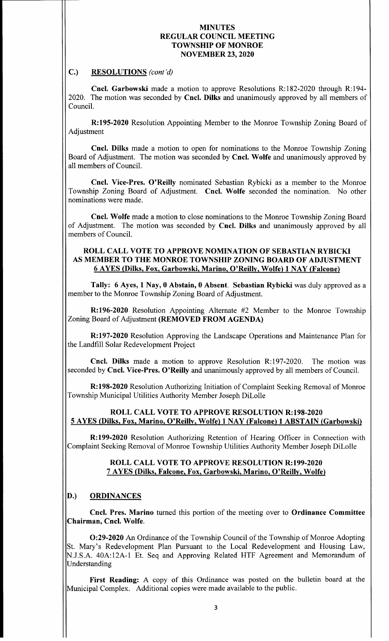### C.) RESOLUTIONS (cont'd)

Cncl. Garbowski made a motion to approve Resolutions R:182-2020 through R:194-2020. The motion was seconded by Cncl. Dilks and unanimously approved by all members of Council.

R: 195-2020 Resolution Appointing Member to the Monroe Township Zoning Board of Adjustment

Cncl. Dilks made a motion to open for nominations to the Monroe Township Zoning Board of Adjustment. The motion was seconded by Cncl. Wolfe and unanimously approved by all members of Council.

Cncl. Vice-Pres. O'Reilly nominated Sebastian Rybicki as a member to the Monroe Township Zoning Board of Adjustment. Cncl. Wolfe seconded the nomination. No other nominations were made.

Cncl. Wolfe made a motion to close nominations to the Monroe Township Zoning Board of Adjustment. The motion was seconded by Cncl. Dilks and unanimously approved by all members of Council.

### ROLL CALL VOTE TO APPROVE NOMINATION OF SEBASTIAN RYBICKI AS MEMBER TO THE MONROE TOWNSHIP ZONING BOARD OF ADJUSTMENT 6 AYES (Dilks, Fox, Garbowski, Marino, O' Reilly, Wolfe) 1 NAY (Falcone)

Tally: 6 Ayes, 1 Nay, 0 Abstain, 0 Absent. Sebastian Rybicki was duly approved as <sup>a</sup> member to the Monroe Township Zoning Board of Adjustment.

 $R: 196-2020$  Resolution Appointing Alternate #2 Member to the Monroe Township Zoning Board of Adjustment (REMOVED FROM AGENDA)

R: 197-2020 Resolution Approving the Landscape Operations and Maintenance Plan for the Landfill Solar Redevelopment Project

**Cncl. Dilks** made a motion to approve Resolution R:197-2020. The motion was seconded by Cncl. Vice-Pres. O'Reilly and unanimously approved by all members of Council.

R: 198-2020 Resolution Authorizing Initiation of Complaint Seeking Removal of Monroe Township Municipal Utilities Authority Member Joseph DiLolle

# ROLL CALL VOTE TO APPROVE RESOLUTION R:198-2020 5 AYES ( Dilks, Fox, Marino, O' Reilly, Wolfe) 1 NAY (Falcone) 1 ABSTAIN ( Garbowski)

R: 199-2020 Resolution Authorizing Retention of Hearing Officer in Connection with Complaint Seeking Removal of Monroe Township Utilities Authority Member Joseph DiLolle

### ROLL CALL VOTE TO APPROVE RESOLUTION R:199-2020 7 AYES ( Dilks, Falcone, Fox, Garbowski, Marino, O' Reilly, Wolfe)

# D.) ORDINANCES

Cncl. Pres. Marino turned this portion of the meeting over to Ordinance Committee Chairman, Cncl. Wolfe.

0:29- 2020 An Ordinance of the Township Council of the Township of Monroe Adopting St. Mary's Redevelopment Plan Pursuant to the Local Redevelopment and Housing Law, N.J.S.A. 40A:12A-1 Et. Seq and Approving Related HTF Agreement and Memorandum of Understanding

First Reading: A copy of this Ordinance was posted on the bulletin board at the Municipal Complex. Additional copies were made available to the public.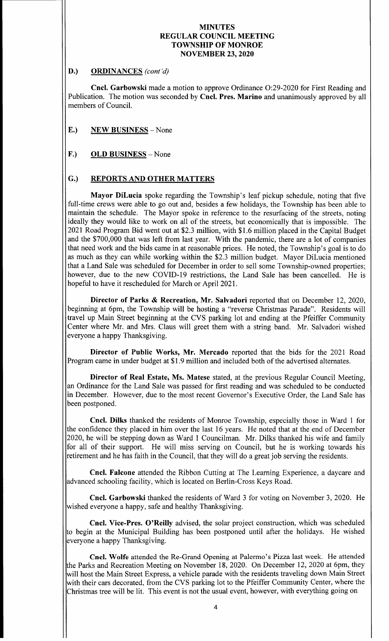### D.) ORDINANCES (cont'd)

Cncl. Garbowski made a motion to approve Ordinance O:29-2020 for First Reading and Publication. The motion was seconded by Cncl. Pres. Marino and unanimously approved by all members of Council.

# E.) NEW BUSINESS - None

# F.) OLD BUSINESS - None

# G.) REPORTS AND OTHER MATTERS

Mayor DiLucia spoke regarding the Township's leaf pickup schedule, noting that five full-time crews were able to go out and, besides a few holidays, the Township has been able to maintain the schedule. The Mayor spoke in reference to the resurfacing of the streets, noting ideally they would like to work on all of the streets, but economically that is impossible. The 2021 Road Program Bid went out at \$2.3 million, with \$1.6 million placed in the Capital Budget and the \$700,000 that was left from last year. With the pandemic, there are a lot of companies that need work and the bids came in at reasonable prices. He noted, the Township's goal is to do as much as they can while working within the \$2.3 million budget. Mayor DiLucia mentioned that a Land Sale was scheduled for December in order to sell some Township-owned properties; however, due to the new COVID-19 restrictions, the Land Sale has been cancelled. He is hopeful to have it rescheduled for March or April 2021.

Director of Parks & Recreation, Mr. Salvadori reported that on December 12, 2020, beginning at 6pm, the Township will be hosting a "reverse Christmas Parade". Residents will travel up Main Street beginning at the CVS parking lot and ending at the Pfeiffer Community Center where Mr. and Mrs. Claus will greet them with a string band. Mr. Salvadori wished everyone a happy Thanksgiving.

Director of Public Works, Mr. Mercado reported that the bids for the 2021 Road Program came in under budget at \$1.9 million and included both of the advertised alternates.

Director of Real Estate, Ms. Matese stated, at the previous Regular Council Meeting, an Ordinance for the Land Sale was passed for first reading and was scheduled to be conducted in December. However, due to the most recent Governor's Executive Order, the Land Sale has been postponed.

Cncl. Dilks thanked the residents of Monroe Township, especially those in Ward <sup>1</sup> for the confidence they placed in him over the last <sup>16</sup> years. He noted that at the end of December 2020, he will be stepping down as Ward <sup>1</sup> Councilman. Mr. Dilks thanked his wife and family for all of their support. He will miss serving on Council, but he is working towards his retirement and he has faith in the Council, that they will do a great job serving the residents.

Cncl. Falcone attended the Ribbon Cutting at The Learning Experience, a daycare and advanced schooling facility, which is located on Berlin-Cross Keys Road.

Cncl. Garbowski thanked the residents of Ward <sup>3</sup> for voting on November 3, 2020. He wished everyone a happy, safe and healthy Thanksgiving.

Cncl. Vice-Pres. O'Reilly advised, the solar project construction, which was scheduled to begin at the Municipal Building has been postponed until after the holidays. He wished everyone a happy Thanksgiving.

Cncl. Wolfe attended the Re-Grand Opening at Palermo's Pizza last week. He attended the Parks and Recreation Meeting on November 18, 2020. On December 12, 2020 at 6pm, they will host the Main Street Express, a vehicle parade with the residents traveling down Main Street with their cars decorated, from the CVS parking lot to the Pfeiffer Community Center, where the Christmas tree will be lit. This event is not the usual event, however, with everything going on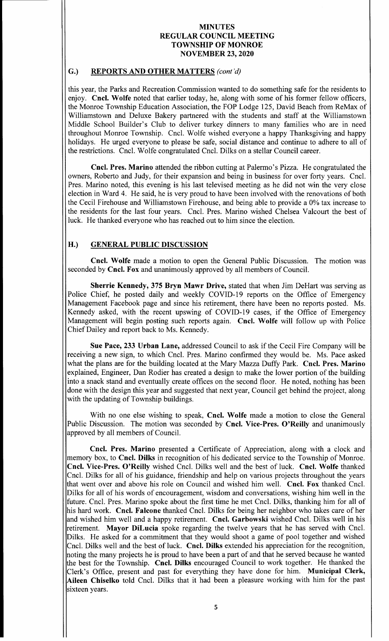### G.) REPORTS AND OTHER MATTERS (cont'd)

this year, the Parks and Recreation Commission wanted to do something safe for the residents to enjoy. Cncl. Wolfe noted that earlier today, he, along with some of his former fellow officers, the Monroe Township Education Association, the FOP Lodge 125, David Beach from ReMax of Williamstown and Deluxe Bakery partnered with the students and staff at the Williamstown Middle School Builder's Club to deliver turkey dinners to many families who are in need throughout Monroe Township. Cncl. Wolfe wished everyone <sup>a</sup> happy Thanksgiving and happy holidays. He urged everyone to please be safe, social distance and continue to adhere to all of the restrictions. Cncl. Wolfe congratulated Cncl. Dilks on a stellar Council career.

Cncl. Pres. Marino attended the ribbon cutting at Palermo's Pizza. He congratulated the owners, Roberto and Judy, for their expansion and being in business for over forty years. Cncl. Pres. Marino noted, this evening is his last televised meeting as he did not win the very close election in Ward 4. He said, he is very proud to have been involved with the renovations of both the Cecil Firehouse and Williamstown Firehouse, and being able to provide <sup>a</sup> 0% tax increase to the residents for the last four years. Cncl. Pres. Marino wished Chelsea Valcourt the best of luck. He thanked everyone who has reached out to him since the election.

# H.) GENERAL PUBLIC DISCUSSION

Cncl. Wolfe made <sup>a</sup> motion to open the General Public Discussion. The motion was seconded by Cncl. Fox and unanimously approved by all members of Council.

Sherrie Kennedy, 375 Bryn Mawr Drive, stated that when Jim DeHart was serving as Police Chief, he posted daily and weekly COVID-19 reports on the Office of Emergency Management Facebook page and since his retirement, there have been no reports posted. Ms. Kennedy asked, with the recent upswing of COVID-19 cases, if the Office of Emergency Management will begin posting such reports again. Cncl. Wolfe will follow up with Police Chief Dailey and report back to Ms. Kennedy.

Sue Pace, 233 Urban Lane, addressed Council to ask if the Cecil Fire Company will be receiving <sup>a</sup> new sign, to which Cncl. Pres. Marino confirmed they would be. Ms. Pace asked what the plans are for the building located at the Mary Mazza Duffy Park. Cncl. Pres. Marino explained, Engineer, Dan Rodier has created a design to make the lower portion of the building into <sup>a</sup> snack stand and eventually create offices on the second floor. He noted, nothing has been done with the design this year and suggested that next year, Council get behind the project, along with the updating of Township buildings.

With no one else wishing to speak, Cncl. Wolfe made a motion to close the General Public Discussion. The motion was seconded by Cncl. Vice-Pres. O'Reilly and unanimously approved by all members of Council.

Cncl. Pres. Marino presented <sup>a</sup> Certificate of Appreciation, along with a clock and memory box, to Cncl. Dilks in recognition of his dedicated service to the Township of Monroe. Cncl. Vice-Pres. O'Reilly wished Cncl. Dilks well and the best of luck. Cncl. Wolfe thanked Cncl. Dilks for all of his guidance, friendship and help on various projects throughout the years that went over and above his role on Council and wished him well. Cncl. Fox thanked Cncl. Dilks for all of his words of encouragement, wisdom and conversations, wishing him well in the future. Cncl. Pres. Marino spoke about the first time he met Cncl. Dilks, thanking him for all of his hard work. Cncl. Falcone thanked Cncl. Dilks for being her neighbor who takes care of her and wished him well and a happy retirement. Cncl. Garbowski wished Cncl. Dilks well in his retirement. Mayor DiLucia spoke regarding the twelve years that he has served with Cncl. Dilks. He asked for <sup>a</sup> commitment that they would shoot <sup>a</sup> game of pool together and wished Cncl. Dilks well and the best of luck. Cncl. Dilks extended his appreciation for the recognition, noting the many projects he is proud to have been <sup>a</sup> part of and that he served because he wanted the best for the Township. Cncl. Dilks encouraged Council to work together. He thanked the Clerk's Office, present and past for everything they have done for him. Municipal Clerk, Aileen Chiselko told Cncl. Dilks that it had been a pleasure working with him for the past sixteen years.